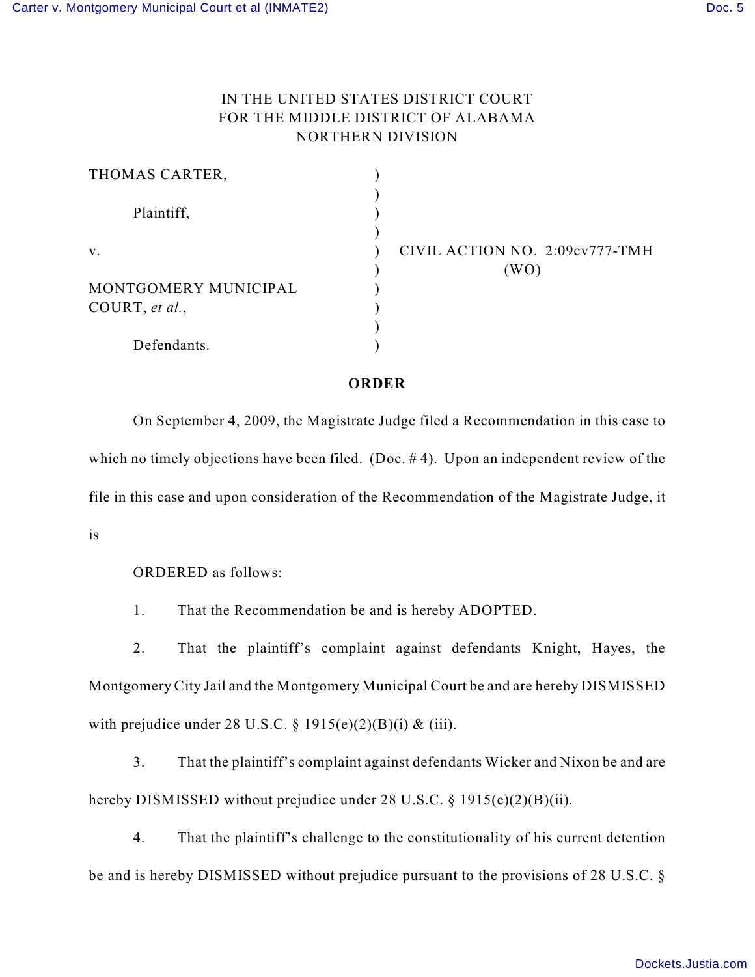## IN THE UNITED STATES DISTRICT COURT FOR THE MIDDLE DISTRICT OF ALABAMA NORTHERN DIVISION

| THOMAS CARTER,       |                                |
|----------------------|--------------------------------|
| Plaintiff,           |                                |
| V.                   | CIVIL ACTION NO. 2:09cv777-TMH |
|                      | (WO)                           |
| MONTGOMERY MUNICIPAL |                                |
| COURT, et al.,       |                                |
|                      |                                |
| Defendants.          |                                |

## **ORDER**

On September 4, 2009, the Magistrate Judge filed a Recommendation in this case to which no timely objections have been filed. (Doc.  $# 4$ ). Upon an independent review of the file in this case and upon consideration of the Recommendation of the Magistrate Judge, it is

ORDERED as follows:

1. That the Recommendation be and is hereby ADOPTED.

2. That the plaintiff's complaint against defendants Knight, Hayes, the Montgomery City Jail and the Montgomery Municipal Court be and are hereby DISMISSED with prejudice under 28 U.S.C.  $\S 1915(e)(2)(B)(i) \& (iii)$ .

3. That the plaintiff's complaint against defendants Wicker and Nixon be and are hereby DISMISSED without prejudice under 28 U.S.C. § 1915(e)(2)(B)(ii).

4. That the plaintiff's challenge to the constitutionality of his current detention be and is hereby DISMISSED without prejudice pursuant to the provisions of 28 U.S.C. §